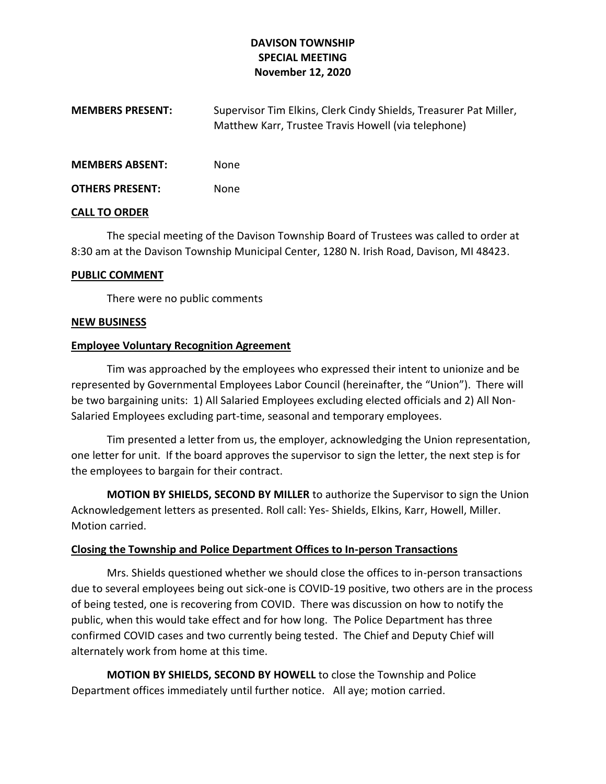## **DAVISON TOWNSHIP SPECIAL MEETING November 12, 2020**

| <b>MEMBERS PRESENT:</b> | Supervisor Tim Elkins, Clerk Cindy Shields, Treasurer Pat Miller, |
|-------------------------|-------------------------------------------------------------------|
|                         | Matthew Karr, Trustee Travis Howell (via telephone)               |

**MEMBERS ABSENT:** None

**OTHERS PRESENT:** None

#### **CALL TO ORDER**

The special meeting of the Davison Township Board of Trustees was called to order at 8:30 am at the Davison Township Municipal Center, 1280 N. Irish Road, Davison, MI 48423.

### **PUBLIC COMMENT**

There were no public comments

### **NEW BUSINESS**

## **Employee Voluntary Recognition Agreement**

Tim was approached by the employees who expressed their intent to unionize and be represented by Governmental Employees Labor Council (hereinafter, the "Union"). There will be two bargaining units: 1) All Salaried Employees excluding elected officials and 2) All Non-Salaried Employees excluding part-time, seasonal and temporary employees.

Tim presented a letter from us, the employer, acknowledging the Union representation, one letter for unit. If the board approves the supervisor to sign the letter, the next step is for the employees to bargain for their contract.

**MOTION BY SHIELDS, SECOND BY MILLER** to authorize the Supervisor to sign the Union Acknowledgement letters as presented. Roll call: Yes- Shields, Elkins, Karr, Howell, Miller. Motion carried.

## **Closing the Township and Police Department Offices to In-person Transactions**

Mrs. Shields questioned whether we should close the offices to in-person transactions due to several employees being out sick-one is COVID-19 positive, two others are in the process of being tested, one is recovering from COVID. There was discussion on how to notify the public, when this would take effect and for how long. The Police Department has three confirmed COVID cases and two currently being tested. The Chief and Deputy Chief will alternately work from home at this time.

**MOTION BY SHIELDS, SECOND BY HOWELL** to close the Township and Police Department offices immediately until further notice. All aye; motion carried.